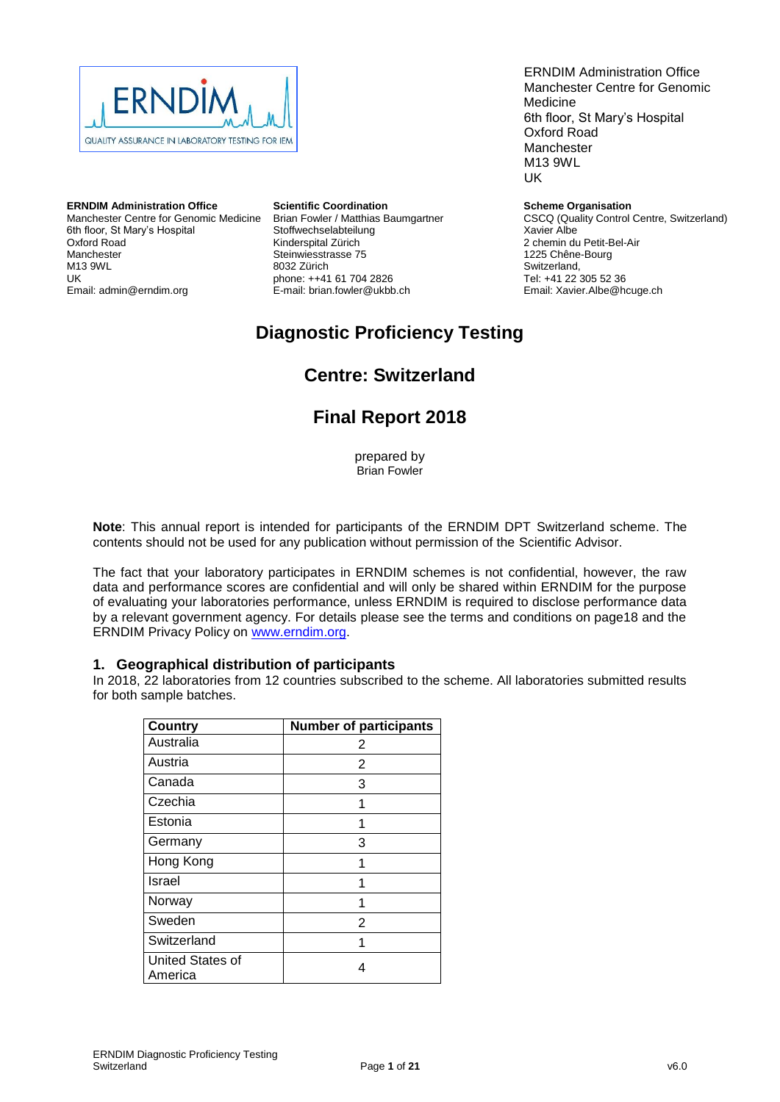

#### **ERNDIM Administration Office**

Manchester Centre for Genomic Medicine 6th floor, St Mary's Hospital Oxford Road Manchester M13 9WL UK Email: admin@erndim.org

#### **Scientific Coordination**

Brian Fowler / Matthias Baumgartner Stoffwechselabteilung Kinderspital Zürich Steinwiesstrasse 75 8032 Zürich phone: ++41 61 704 2826 E-mail: brian.fowler@ukbb.ch

ERNDIM Administration Office Manchester Centre for Genomic Medicine 6th floor, St Mary's Hospital Oxford Road Manchester M13 9WL UK

#### **Scheme Organisation**

CSCQ (Quality Control Centre, Switzerland) Xavier Albe 2 chemin du Petit-Bel-Air 1225 Chêne-Bourg Switzerland, Tel: +41 22 305 52 36 Email: Xavier.Albe@hcuge.ch

# **Diagnostic Proficiency Testing**

# **Centre: Switzerland**

# **Final Report 2018**

prepared by Brian Fowler

**Note**: This annual report is intended for participants of the ERNDIM DPT Switzerland scheme. The contents should not be used for any publication without permission of the Scientific Advisor.

The fact that your laboratory participates in ERNDIM schemes is not confidential, however, the raw data and performance scores are confidential and will only be shared within ERNDIM for the purpose of evaluating your laboratories performance, unless ERNDIM is required to disclose performance data by a relevant government agency. For details please see the terms and conditions on page18 and the ERNDIM Privacy Policy on www.erndim.org.

#### **1. Geographical distribution of participants**

In 2018, 22 laboratories from 12 countries subscribed to the scheme. All laboratories submitted results for both sample batches.

| <b>Country</b>              | <b>Number of participants</b> |
|-----------------------------|-------------------------------|
| Australia                   | 2                             |
| Austria                     | 2                             |
| Canada                      | 3                             |
| Czechia                     | 1                             |
| Estonia                     | 1                             |
| Germany                     | 3                             |
| Hong Kong                   | 1                             |
| Israel                      | 1                             |
| Norway                      | 1                             |
| Sweden                      | 2                             |
| Switzerland                 | 1                             |
| United States of<br>America | 4                             |

| Version Number (& Date) | ∣ Amendments                                                                                                   |
|-------------------------|----------------------------------------------------------------------------------------------------------------|
|                         | version 2 (19th July 2019) $\vert \bullet \vert$ Page 15: Scientific Advisor signature added to authorization. |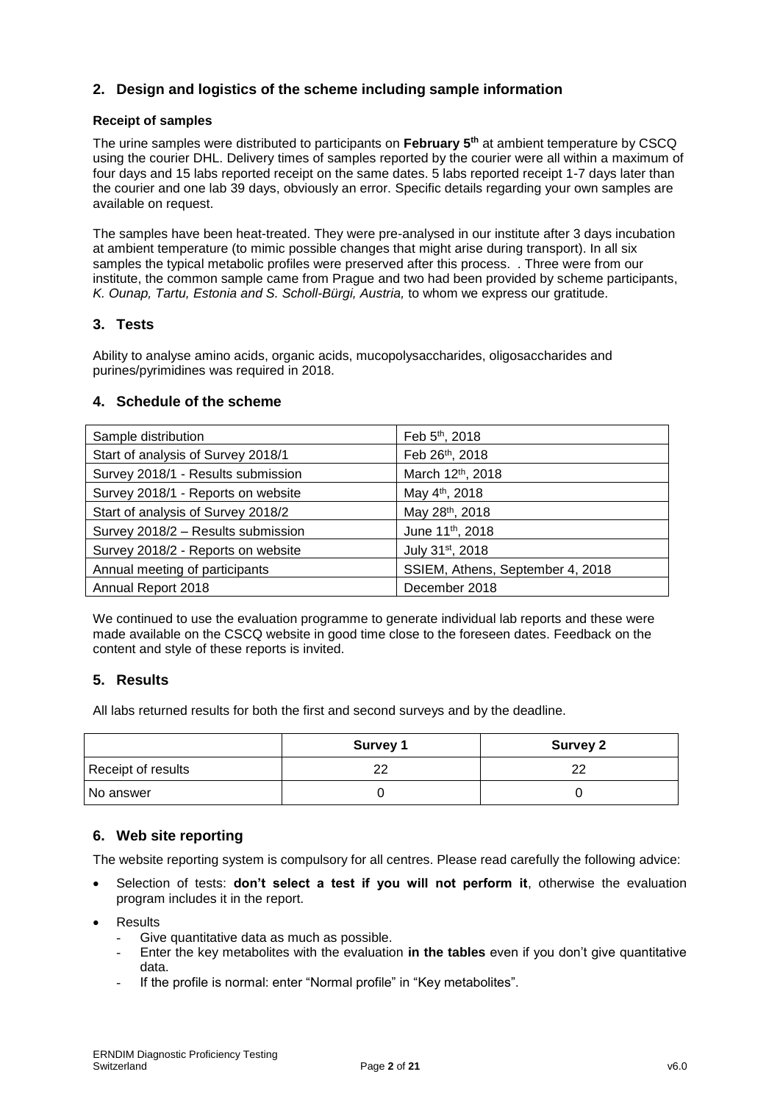## **2. Design and logistics of the scheme including sample information**

## **Receipt of samples**

The urine samples were distributed to participants on **February 5 th** at ambient temperature by CSCQ using the courier DHL. Delivery times of samples reported by the courier were all within a maximum of four days and 15 labs reported receipt on the same dates. 5 labs reported receipt 1-7 days later than the courier and one lab 39 days, obviously an error. Specific details regarding your own samples are available on request.

The samples have been heat-treated. They were pre-analysed in our institute after 3 days incubation at ambient temperature (to mimic possible changes that might arise during transport). In all six samples the typical metabolic profiles were preserved after this process. . Three were from our institute, the common sample came from Prague and two had been provided by scheme participants, *K. Ounap, Tartu, Estonia and S. Scholl-Bürgi, Austria,* to whom we express our gratitude.

## **3. Tests**

Ability to analyse amino acids, organic acids, mucopolysaccharides, oligosaccharides and purines/pyrimidines was required in 2018.

## **4. Schedule of the scheme**

| Sample distribution                | Feb 5th, 2018                    |
|------------------------------------|----------------------------------|
| Start of analysis of Survey 2018/1 | Feb 26th, 2018                   |
| Survey 2018/1 - Results submission | March 12th, 2018                 |
| Survey 2018/1 - Reports on website | May 4 <sup>th</sup> , 2018       |
| Start of analysis of Survey 2018/2 | May 28th, 2018                   |
| Survey 2018/2 - Results submission | June 11th, 2018                  |
| Survey 2018/2 - Reports on website | July 31 <sup>st</sup> , 2018     |
| Annual meeting of participants     | SSIEM, Athens, September 4, 2018 |
| Annual Report 2018                 | December 2018                    |

We continued to use the evaluation programme to generate individual lab reports and these were made available on the CSCQ website in good time close to the foreseen dates. Feedback on the content and style of these reports is invited.

## **5. Results**

All labs returned results for both the first and second surveys and by the deadline.

|                    | <b>Survey 1</b> | <b>Survey 2</b> |
|--------------------|-----------------|-----------------|
| Receipt of results | nr              | າາ              |
| No answer          |                 |                 |

## **6. Web site reporting**

The website reporting system is compulsory for all centres. Please read carefully the following advice:

- Selection of tests: **don't select a test if you will not perform it**, otherwise the evaluation program includes it in the report.
- **Results** 
	- Give quantitative data as much as possible.
	- Enter the key metabolites with the evaluation **in the tables** even if you don't give quantitative data.
	- If the profile is normal: enter "Normal profile" in "Key metabolites".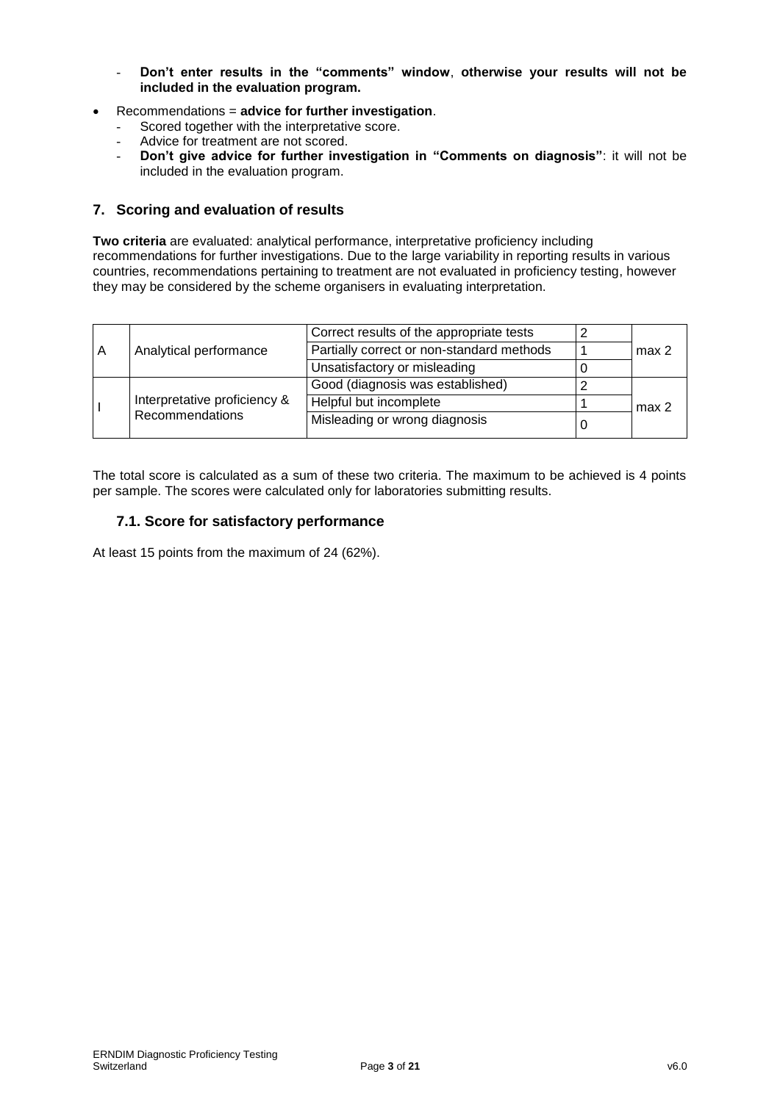- **Don't enter results in the "comments" window**, **otherwise your results will not be included in the evaluation program.**
- Recommendations = **advice for further investigation**.
	- Scored together with the interpretative score.
	- Advice for treatment are not scored.
	- **Don't give advice for further investigation in "Comments on diagnosis"**: it will not be included in the evaluation program.

## **7. Scoring and evaluation of results**

**Two criteria** are evaluated: analytical performance, interpretative proficiency including recommendations for further investigations. Due to the large variability in reporting results in various countries, recommendations pertaining to treatment are not evaluated in proficiency testing, however they may be considered by the scheme organisers in evaluating interpretation.

| Analytical performance<br>A                     |                               | Correct results of the appropriate tests  |                  |
|-------------------------------------------------|-------------------------------|-------------------------------------------|------------------|
|                                                 |                               | Partially correct or non-standard methods | max <sub>2</sub> |
|                                                 |                               | Unsatisfactory or misleading              |                  |
|                                                 |                               | Good (diagnosis was established)          |                  |
| Interpretative proficiency &<br>Recommendations | Helpful but incomplete        | max <sub>2</sub>                          |                  |
|                                                 | Misleading or wrong diagnosis |                                           |                  |

The total score is calculated as a sum of these two criteria. The maximum to be achieved is 4 points per sample. The scores were calculated only for laboratories submitting results.

## **7.1. Score for satisfactory performance**

At least 15 points from the maximum of 24 (62%).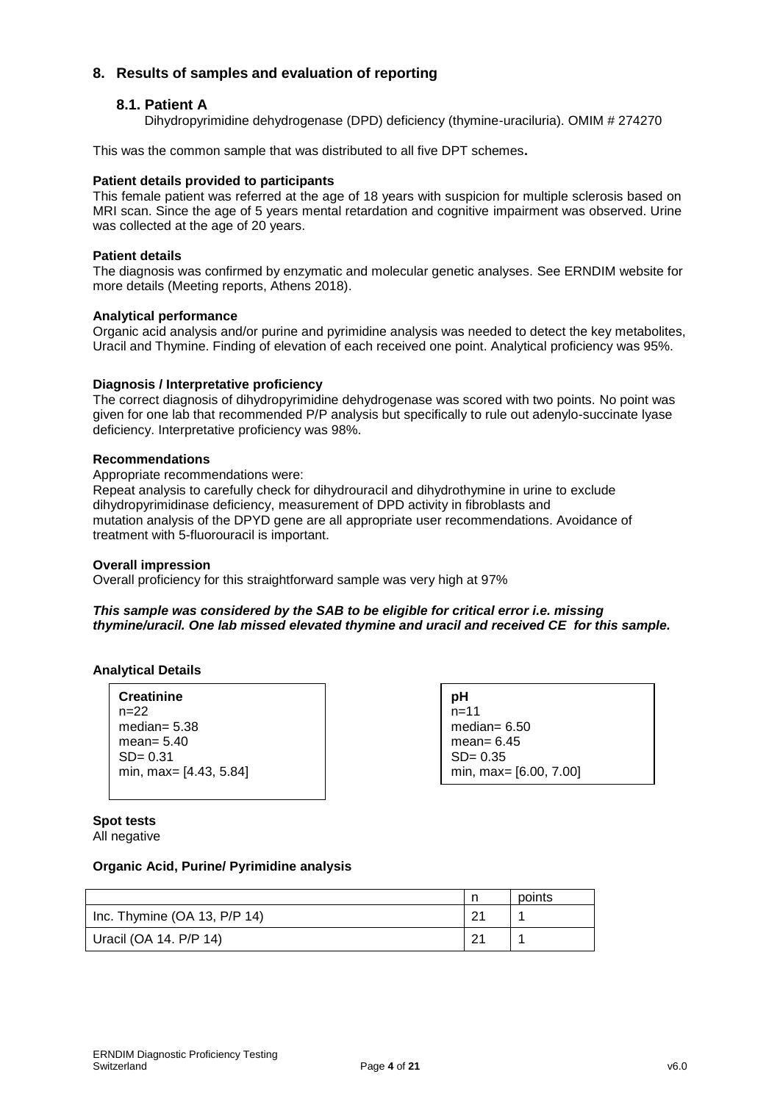## **8. Results of samples and evaluation of reporting**

## **8.1. Patient A**

Dihydropyrimidine dehydrogenase (DPD) deficiency (thymine-uraciluria). OMIM # 274270

This was the common sample that was distributed to all five DPT schemes**.**

## **Patient details provided to participants**

This female patient was referred at the age of 18 years with suspicion for multiple sclerosis based on MRI scan. Since the age of 5 years mental retardation and cognitive impairment was observed. Urine was collected at the age of 20 years.

#### **Patient details**

The diagnosis was confirmed by enzymatic and molecular genetic analyses. See ERNDIM website for more details (Meeting reports, Athens 2018).

#### **Analytical performance**

Organic acid analysis and/or purine and pyrimidine analysis was needed to detect the key metabolites, Uracil and Thymine. Finding of elevation of each received one point. Analytical proficiency was 95%.

#### **Diagnosis / Interpretative proficiency**

The correct diagnosis of dihydropyrimidine dehydrogenase was scored with two points. No point was given for one lab that recommended P/P analysis but specifically to rule out adenylo-succinate lyase deficiency. Interpretative proficiency was 98%.

#### **Recommendations**

Appropriate recommendations were:

Repeat analysis to carefully check for dihydrouracil and dihydrothymine in urine to exclude dihydropyrimidinase deficiency, measurement of DPD activity in fibroblasts and mutation analysis of the DPYD gene are all appropriate user recommendations. Avoidance of treatment with 5-fluorouracil is important.

#### **Overall impression**

Overall proficiency for this straightforward sample was very high at 97%

#### *This sample was considered by the SAB to be eligible for critical error i.e. missing thymine/uracil. One lab missed elevated thymine and uracil and received CE for this sample.*

#### **Analytical Details**

| <b>Creatinine</b>      |
|------------------------|
| $n=22$                 |
| median= $5.38$         |
| mean= $5.40$           |
| $SD = 0.31$            |
| min, max= [4.43, 5.84] |

**pH**  $n=11$ median= 6.50 mean= 6.45 SD= 0.35 min, max= [6.00, 7.00]

**Spot tests** 

All negative

## **Organic Acid, Purine/ Pyrimidine analysis**

|                                | points |
|--------------------------------|--------|
| Inc. Thymine $(OA 13, P/P 14)$ |        |
| Uracil (OA 14. P/P 14)         |        |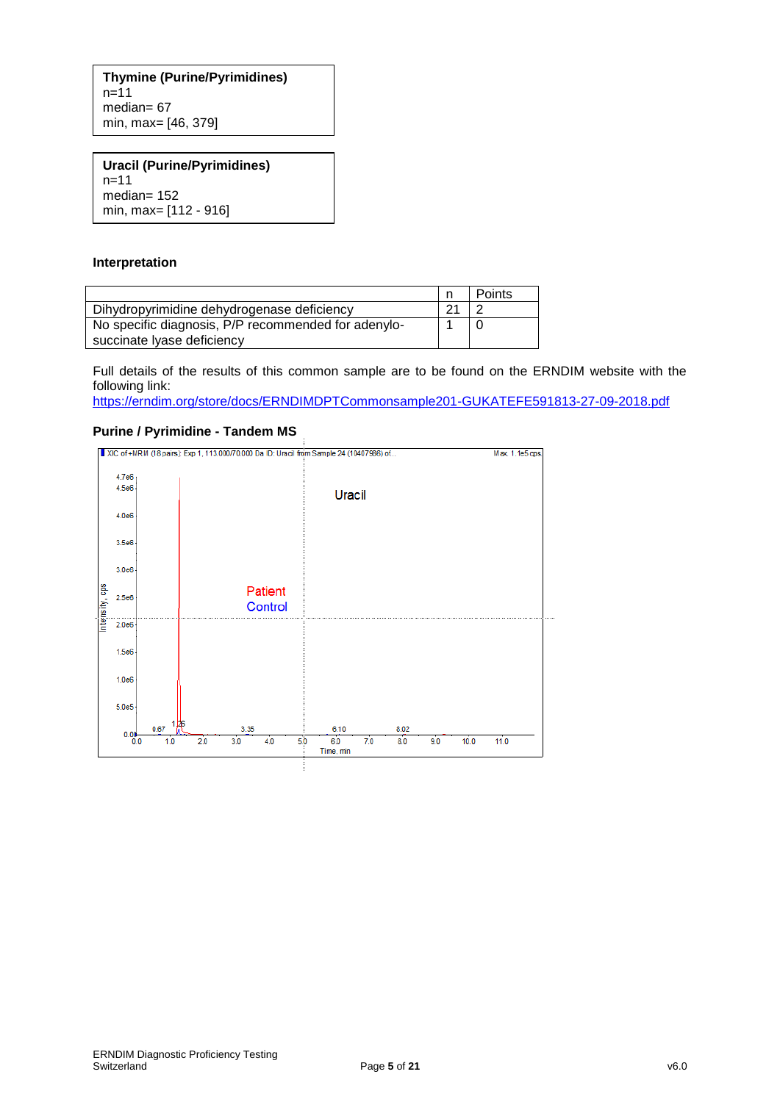**Thymine (Purine/Pyrimidines)**  $n=11$ median= 67 min, max= [46, 379]

**Uracil (Purine/Pyrimidines)** n=11 median= 152 min, max= [112 - 916]

#### **Interpretation**

|                                                     |          | Points |
|-----------------------------------------------------|----------|--------|
| Dihydropyrimidine dehydrogenase deficiency          | $\Omega$ |        |
| No specific diagnosis, P/P recommended for adenylo- |          |        |
| succinate lyase deficiency                          |          |        |

Full details of the results of this common sample are to be found on the ERNDIM website with the following link:

<https://erndim.org/store/docs/ERNDIMDPTCommonsample201-GUKATEFE591813-27-09-2018.pdf>

#### **Purine / Pyrimidine - Tandem MS**

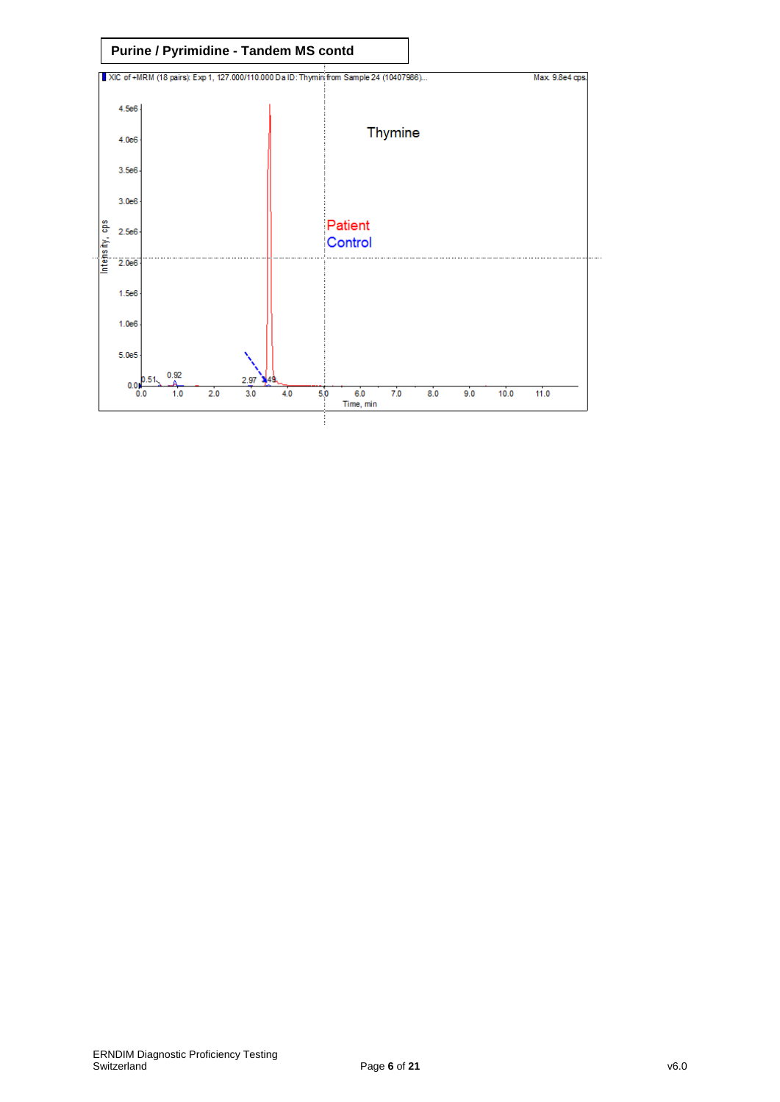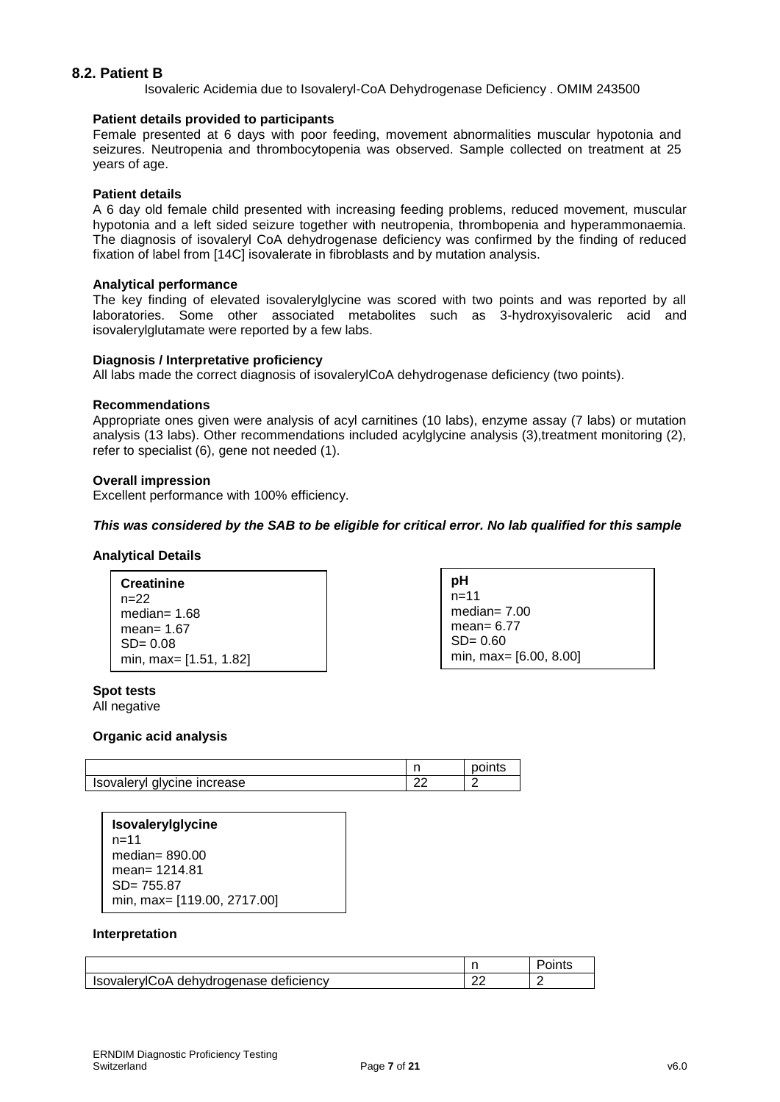## **8.2. Patient B**

Isovaleric Acidemia due to Isovaleryl-CoA Dehydrogenase Deficiency . OMIM 243500

#### **Patient details provided to participants**

Female presented at 6 days with poor feeding, movement abnormalities muscular hypotonia and seizures. Neutropenia and thrombocytopenia was observed. Sample collected on treatment at 25 years of age.

#### **Patient details**

A 6 day old female child presented with increasing feeding problems, reduced movement, muscular hypotonia and a left sided seizure together with neutropenia, thrombopenia and hyperammonaemia. The diagnosis of isovaleryl CoA dehydrogenase deficiency was confirmed by the finding of reduced fixation of label from [14C] isovalerate in fibroblasts and by mutation analysis.

#### **Analytical performance**

The key finding of elevated isovalerylglycine was scored with two points and was reported by all laboratories. Some other associated metabolites such as 3-hydroxyisovaleric acid and isovalerylglutamate were reported by a few labs.

#### **Diagnosis / Interpretative proficiency**

All labs made the correct diagnosis of isovalerylCoA dehydrogenase deficiency (two points).

#### **Recommendations**

Appropriate ones given were analysis of acyl carnitines (10 labs), enzyme assay (7 labs) or mutation analysis (13 labs). Other recommendations included acylglycine analysis (3),treatment monitoring (2), refer to specialist (6), gene not needed (1).

#### **Overall impression**

Excellent performance with 100% efficiency.

#### *This was considered by the SAB to be eligible for critical error. No lab qualified for this sample*

#### **Analytical Details**

**Creatinine** n=22 median= 1.68 mean= 1.67  $SD = 0.08$ min, max= [1.51, 1.82] **pH**  $n=11$ median= 7.00 mean= 6.77  $SD = 0.60$ min, max= [6.00, 8.00]

**Spot tests** 

All negative

#### **Organic acid analysis**

|                             |    | oints |
|-----------------------------|----|-------|
| Isovaleryl glycine increase | or |       |

**Isovalerylglycine** n=11 median= 890.00 mean= 1214.81 SD= 755.87 min, max= [119.00, 2717.00]

#### **Interpretation**

| IsovalerylCoA dehydrogenase deficiency |  |
|----------------------------------------|--|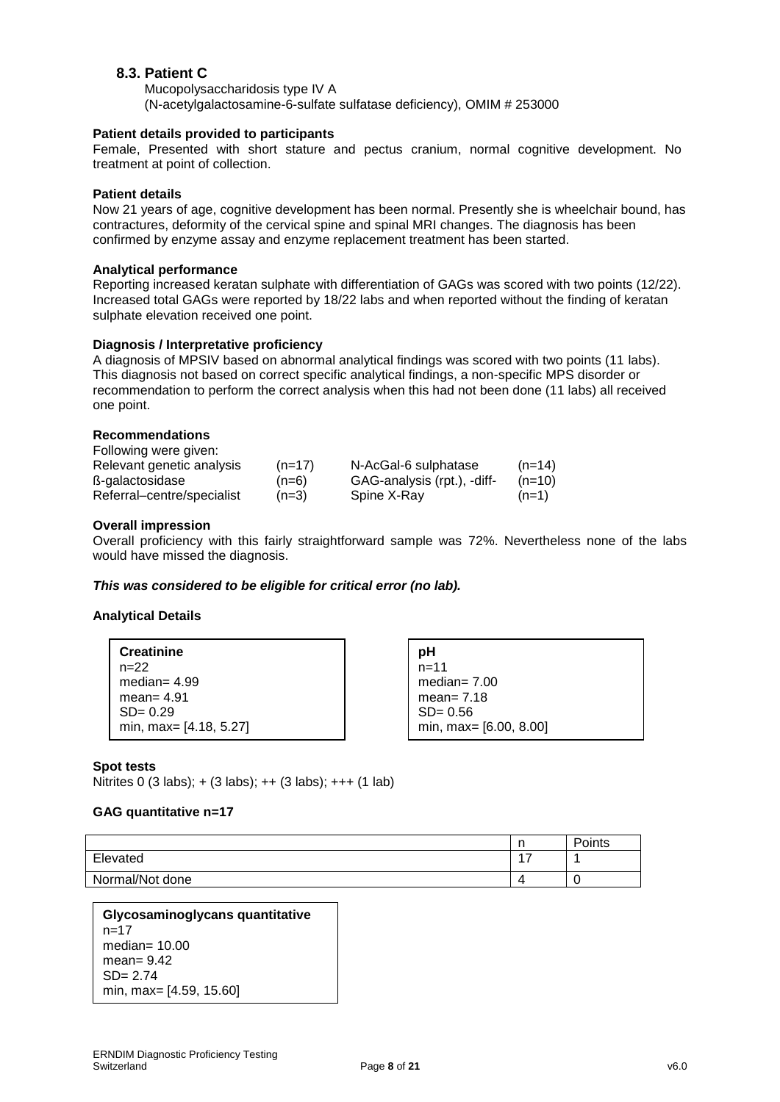## **8.3. Patient C**

Mucopolysaccharidosis type IV A (N-acetylgalactosamine-6-sulfate sulfatase deficiency), OMIM # 253000

#### **Patient details provided to participants**

Female, Presented with short stature and pectus cranium, normal cognitive development. No treatment at point of collection.

#### **Patient details**

Now 21 years of age, cognitive development has been normal. Presently she is wheelchair bound, has contractures, deformity of the cervical spine and spinal MRI changes. The diagnosis has been confirmed by enzyme assay and enzyme replacement treatment has been started.

#### **Analytical performance**

Reporting increased keratan sulphate with differentiation of GAGs was scored with two points (12/22). Increased total GAGs were reported by 18/22 labs and when reported without the finding of keratan sulphate elevation received one point.

#### **Diagnosis / Interpretative proficiency**

A diagnosis of MPSIV based on abnormal analytical findings was scored with two points (11 labs). This diagnosis not based on correct specific analytical findings, a non-specific MPS disorder or recommendation to perform the correct analysis when this had not been done (11 labs) all received one point.

#### **Recommendations**

| Following were given:      |          |                             |          |
|----------------------------|----------|-----------------------------|----------|
| Relevant genetic analysis  | $(n=17)$ | N-AcGal-6 sulphatase        | $(n=14)$ |
| ß-galactosidase            | $(n=6)$  | GAG-analysis (rpt.), -diff- | $(n=10)$ |
| Referral-centre/specialist | $(n=3)$  | Spine X-Ray                 | $(n=1)$  |

#### **Overall impression**

Overall proficiency with this fairly straightforward sample was 72%. Nevertheless none of the labs would have missed the diagnosis.

#### *This was considered to be eligible for critical error (no lab).*

#### **Analytical Details**

**Creatinine**  $n=22$ median= 4.99 mean= 4.91 SD= 0.29 min, max= [4.18, 5.27]

**pH** n=11 median= 7.00 mean= 7.18 SD= 0.56 min, max= [6.00, 8.00]

#### **Spot tests**

Nitrites 0 (3 labs); + (3 labs); ++ (3 labs); +++ (1 lab)

#### **GAG quantitative n=17**

|                 | . .       | Points |
|-----------------|-----------|--------|
| Elevated        | 47<br>. . |        |
| Normal/Not done | 4         |        |

```
Glycosaminoglycans quantitative
n=17median= 10.00
mean= 9.42
SD= 2.74
min, max= [4.59, 15.60]
```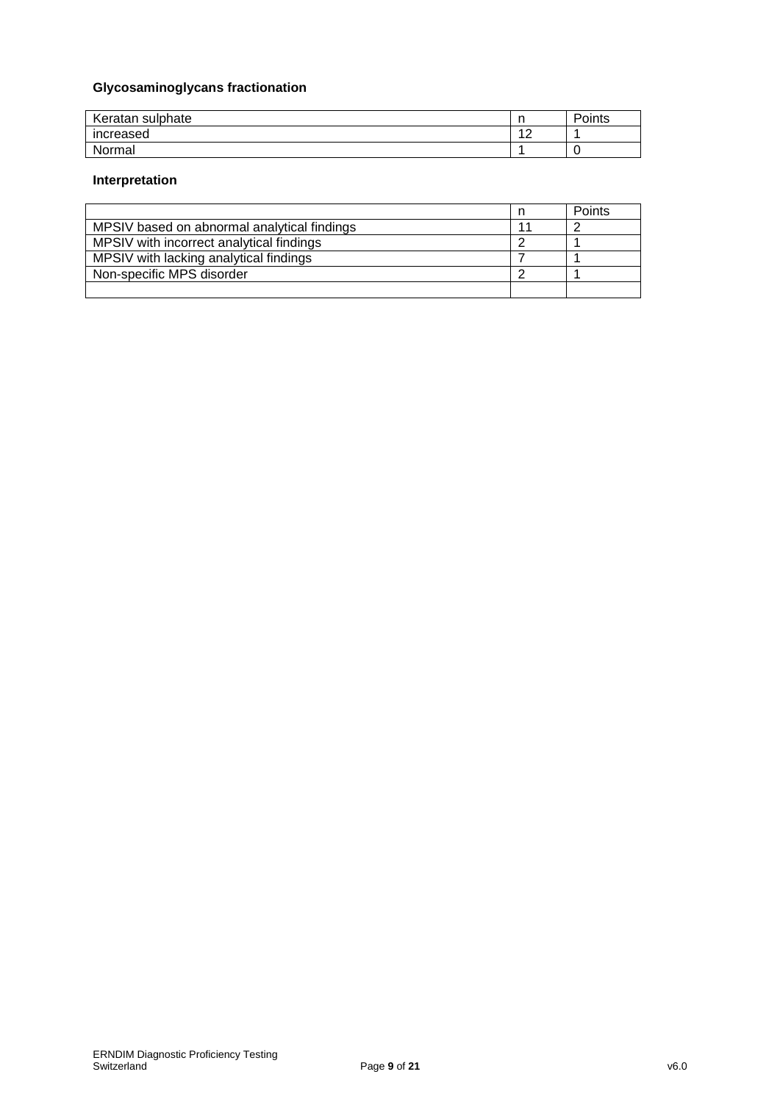# **Glycosaminoglycans fractionation**

| Keratan sulphate | . .                 | Points |
|------------------|---------------------|--------|
| increased        | $\overline{a}$<br>- |        |
| Normal           |                     |        |

## **Interpretation**

|                                             | Points |
|---------------------------------------------|--------|
| MPSIV based on abnormal analytical findings |        |
| MPSIV with incorrect analytical findings    |        |
| MPSIV with lacking analytical findings      |        |
| Non-specific MPS disorder                   |        |
|                                             |        |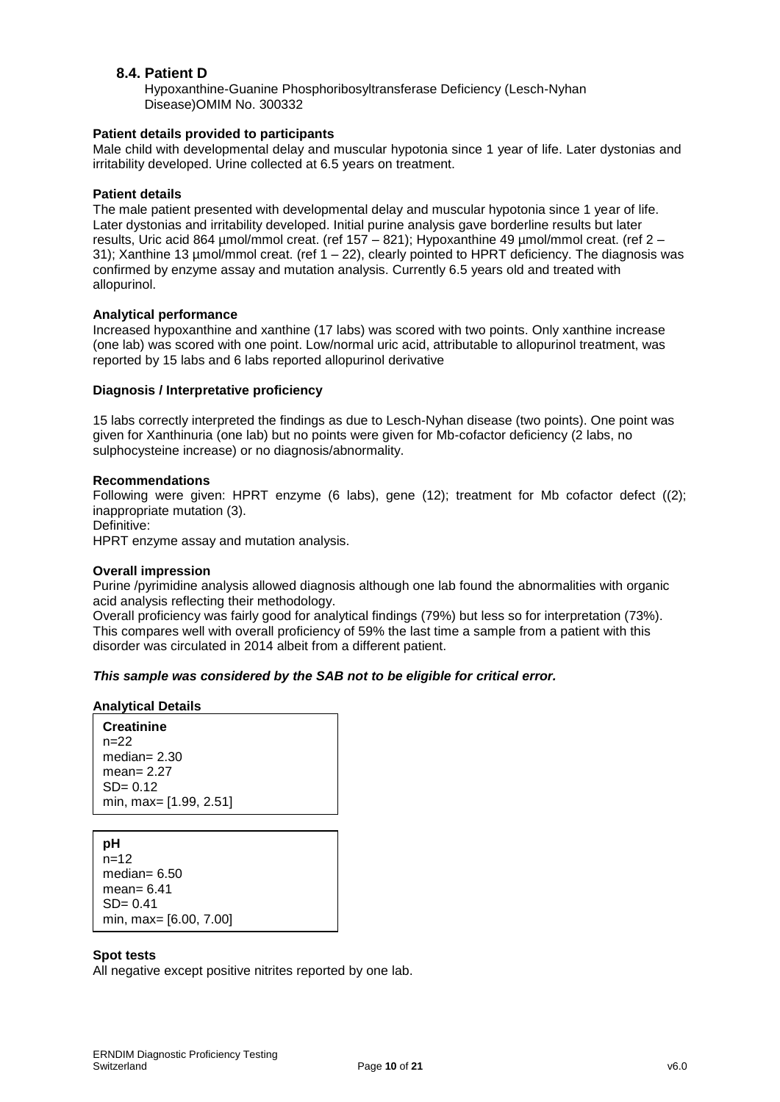## **8.4. Patient D**

Hypoxanthine-Guanine Phosphoribosyltransferase Deficiency (Lesch-Nyhan Disease)OMIM No. 300332

#### **Patient details provided to participants**

Male child with developmental delay and muscular hypotonia since 1 year of life. Later dystonias and irritability developed. Urine collected at 6.5 years on treatment.

#### **Patient details**

The male patient presented with developmental delay and muscular hypotonia since 1 year of life. Later dystonias and irritability developed. Initial purine analysis gave borderline results but later results, Uric acid 864 µmol/mmol creat. (ref 157 – 821); Hypoxanthine 49 µmol/mmol creat. (ref 2 – 31); Xanthine 13 µmol/mmol creat. (ref 1 – 22), clearly pointed to HPRT deficiency. The diagnosis was confirmed by enzyme assay and mutation analysis. Currently 6.5 years old and treated with allopurinol.

#### **Analytical performance**

Increased hypoxanthine and xanthine (17 labs) was scored with two points. Only xanthine increase (one lab) was scored with one point. Low/normal uric acid, attributable to allopurinol treatment, was reported by 15 labs and 6 labs reported allopurinol derivative

#### **Diagnosis / Interpretative proficiency**

15 labs correctly interpreted the findings as due to Lesch-Nyhan disease (two points). One point was given for Xanthinuria (one lab) but no points were given for Mb-cofactor deficiency (2 labs, no sulphocysteine increase) or no diagnosis/abnormality.

#### **Recommendations**

Following were given: HPRT enzyme (6 labs), gene (12); treatment for Mb cofactor defect ((2); inappropriate mutation (3).

Definitive:

HPRT enzyme assay and mutation analysis.

#### **Overall impression**

Purine /pyrimidine analysis allowed diagnosis although one lab found the abnormalities with organic acid analysis reflecting their methodology.

Overall proficiency was fairly good for analytical findings (79%) but less so for interpretation (73%). This compares well with overall proficiency of 59% the last time a sample from a patient with this disorder was circulated in 2014 albeit from a different patient.

## *This sample was considered by the SAB not to be eligible for critical error.*

#### **Analytical Details**

**Creatinine**  $n=22$ median= 2.30 mean= 2.27 SD= 0.12 min, max= [1.99, 2.51]

**pH** n=12 median= 6.50 mean= 6.41 SD= 0.41 min, max= [6.00, 7.00]

#### **Spot tests**

All negative except positive nitrites reported by one lab.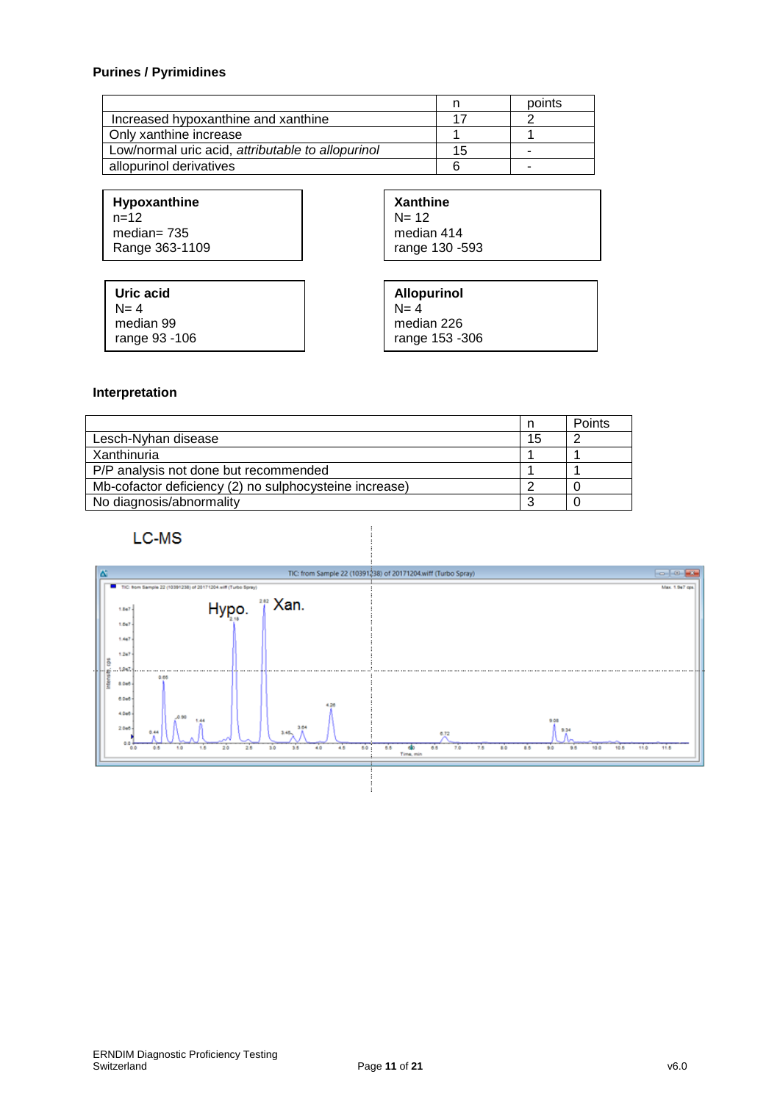## **Purines / Pyrimidines**

|                                                   |    | points |
|---------------------------------------------------|----|--------|
| Increased hypoxanthine and xanthine               |    |        |
| Only xanthine increase                            |    |        |
| Low/normal uric acid, attributable to allopurinol | 15 |        |
| allopurinol derivatives                           |    | -      |

**Hypoxanthine**  $n=12$ median= 735 Range 363-1109

| <b>Xanthine</b> |
|-----------------|
| N= 12           |
| median 414      |
| range 130 - 593 |

| Uric acid          | <b>Allopurinol</b>  |
|--------------------|---------------------|
| $N=4$<br>median 99 | $N=4$<br>median 226 |
| range 93 -106      | range 153 -306      |

#### **Interpretation**

|                                                        |    | Points |
|--------------------------------------------------------|----|--------|
| Lesch-Nyhan disease                                    | 15 |        |
| Xanthinuria                                            |    |        |
| P/P analysis not done but recommended                  |    |        |
| Mb-cofactor deficiency (2) no sulphocysteine increase) |    |        |
| No diagnosis/abnormality                               |    |        |

## LC-MS

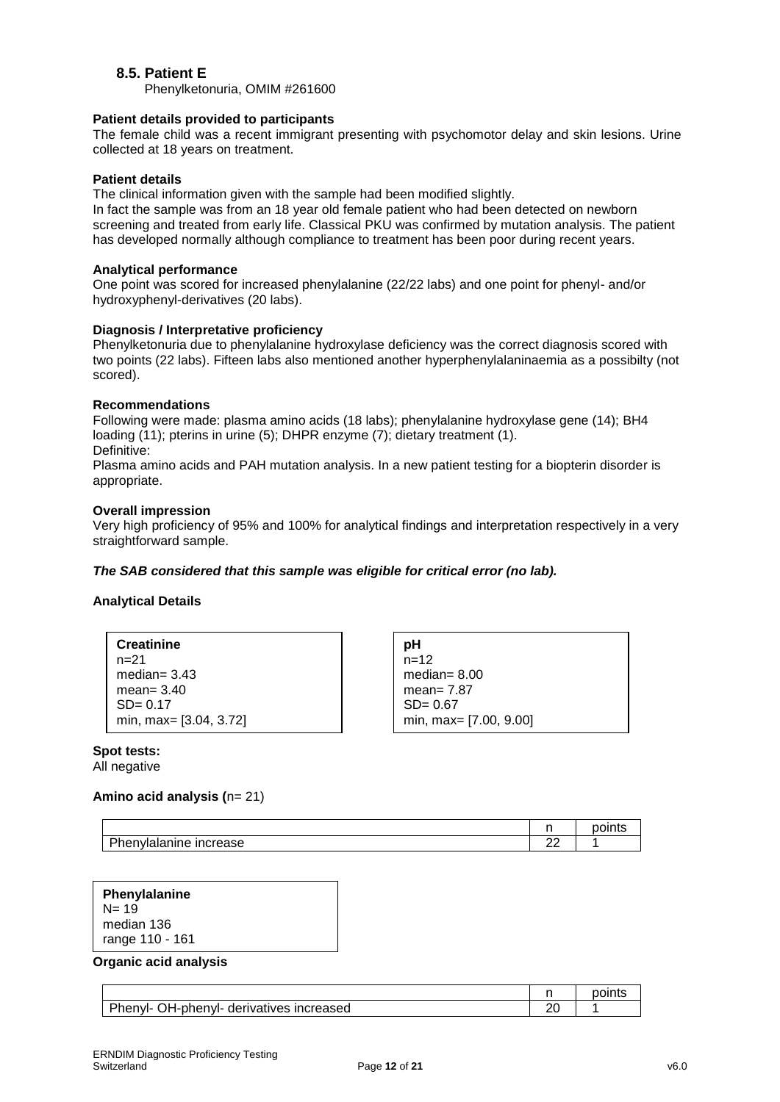## **8.5. Patient E**

Phenylketonuria, OMIM #261600

#### **Patient details provided to participants**

The female child was a recent immigrant presenting with psychomotor delay and skin lesions. Urine collected at 18 years on treatment.

#### **Patient details**

The clinical information given with the sample had been modified slightly.

In fact the sample was from an 18 year old female patient who had been detected on newborn screening and treated from early life. Classical PKU was confirmed by mutation analysis. The patient has developed normally although compliance to treatment has been poor during recent years.

#### **Analytical performance**

One point was scored for increased phenylalanine (22/22 labs) and one point for phenyl- and/or hydroxyphenyl-derivatives (20 labs).

#### **Diagnosis / Interpretative proficiency**

Phenylketonuria due to phenylalanine hydroxylase deficiency was the correct diagnosis scored with two points (22 labs). Fifteen labs also mentioned another hyperphenylalaninaemia as a possibilty (not scored).

#### **Recommendations**

Following were made: plasma amino acids (18 labs); phenylalanine hydroxylase gene (14); BH4 loading (11); pterins in urine (5); DHPR enzyme (7); dietary treatment (1). Definitive: Plasma amino acids and PAH mutation analysis. In a new patient testing for a biopterin disorder is

## **Overall impression**

appropriate.

Very high proficiency of 95% and 100% for analytical findings and interpretation respectively in a very straightforward sample.

#### *The SAB considered that this sample was eligible for critical error (no lab).*

#### **Analytical Details**

| <b>Creatinine</b>      |
|------------------------|
| $n = 21$               |
| median= $3.43$         |
| mean= $3.40$           |
| $SD = 0.17$            |
| min, max= [3.04, 3.72] |

**pH** n=12 median= 8.00 mean= 7.87 SD= 0.67 min, max= [7.00, 9.00]

#### **Spot tests:**

All negative

#### **Amino acid analysis (**n= 21)

|                                    |         | $-1$ |
|------------------------------------|---------|------|
| D.L<br>increase<br>nenylalanıne ir | c<br>▃▵ |      |

| Phenylalanine   |
|-----------------|
| $N = 19$        |
| median 136      |
| range 110 - 161 |

#### **Organic acid analysis**

|                                          | points |
|------------------------------------------|--------|
| Phenyl- OH-phenyl- derivatives increased |        |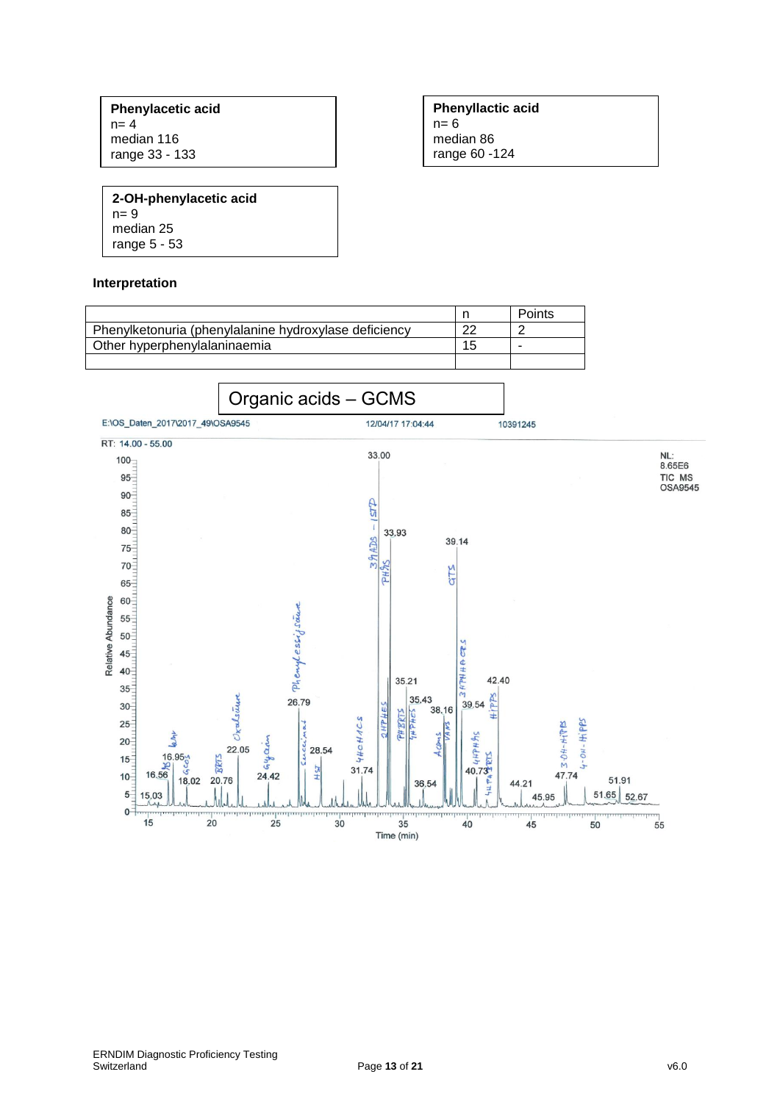**Phenylacetic acid**  $n= 4$ median 116 range 33 - 133

**Phenyllactic acid** n= 6 median 86 range 60 -124

**2-OH-phenylacetic acid** n= 9 median 25 range 5 - 53

#### **Interpretation**



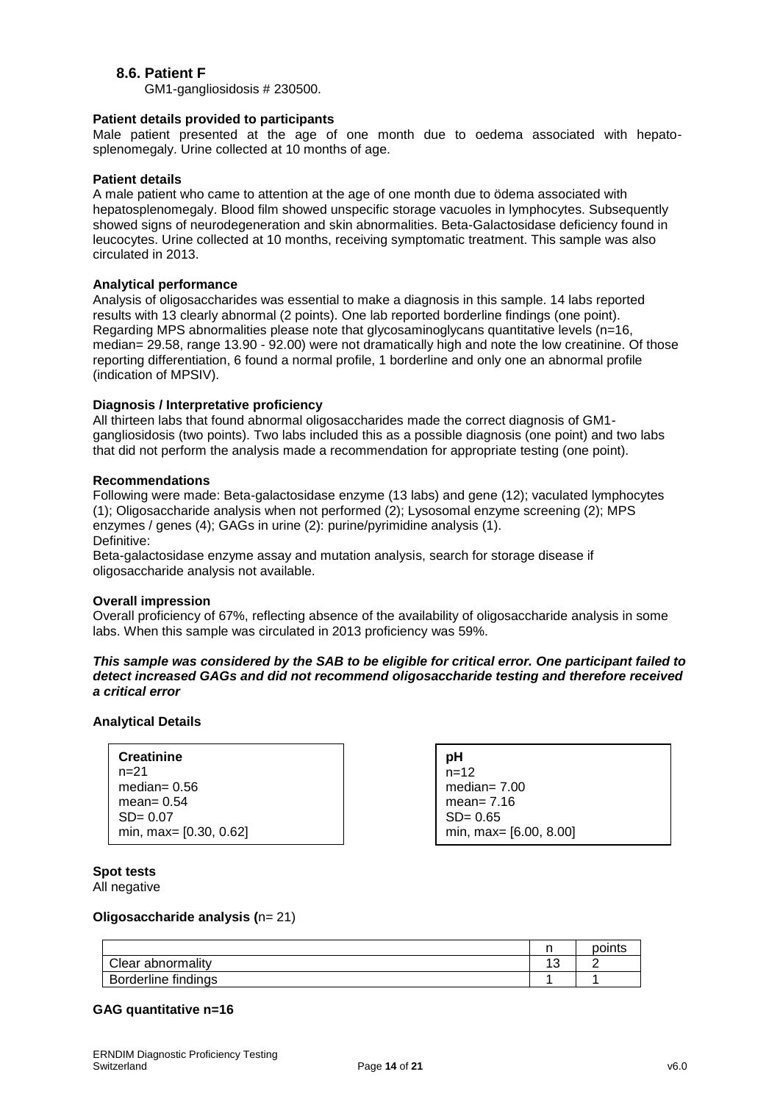## **8.6. Patient F**

GM1-gangliosidosis # 230500.

#### **Patient details provided to participants**

Male patient presented at the age of one month due to oedema associated with hepatosplenomegaly. Urine collected at 10 months of age.

#### **Patient details**

A male patient who came to attention at the age of one month due to ödema associated with hepatosplenomegaly. Blood film showed unspecific storage vacuoles in lymphocytes. Subsequently showed signs of neurodegeneration and skin abnormalities. Beta-Galactosidase deficiency found in leucocytes. Urine collected at 10 months, receiving symptomatic treatment. This sample was also circulated in 2013.

## **Analytical performance**

Analysis of oligosaccharides was essential to make a diagnosis in this sample. 14 labs reported results with 13 clearly abnormal (2 points). One lab reported borderline findings (one point). Regarding MPS abnormalities please note that glycosaminoglycans quantitative levels (n=16, median= 29.58, range 13.90 - 92.00) were not dramatically high and note the low creatinine. Of those reporting differentiation, 6 found a normal profile, 1 borderline and only one an abnormal profile (indication of MPSIV).

#### **Diagnosis / Interpretative proficiency**

All thirteen labs that found abnormal oligosaccharides made the correct diagnosis of GM1 gangliosidosis (two points). Two labs included this as a possible diagnosis (one point) and two labs that did not perform the analysis made a recommendation for appropriate testing (one point).

#### **Recommendations**

Following were made: Beta-galactosidase enzyme (13 labs) and gene (12); vaculated lymphocytes (1); Oligosaccharide analysis when not performed (2); Lysosomal enzyme screening (2); MPS enzymes / genes (4); GAGs in urine (2): purine/pyrimidine analysis (1). Definitive:

Beta-galactosidase enzyme assay and mutation analysis, search for storage disease if oligosaccharide analysis not available.

#### **Overall impression**

Overall proficiency of 67%, reflecting absence of the availability of oligosaccharide analysis in some labs. When this sample was circulated in 2013 proficiency was 59%.

#### *This sample was considered by the SAB to be eligible for critical error. One participant failed to detect increased GAGs and did not recommend oligosaccharide testing and therefore received a critical error*

#### **Analytical Details**

| <b>Creatinine</b>      |
|------------------------|
| $n = 21$               |
| median= $0.56$         |
| mean = $0.54$          |
| $SD = 0.07$            |
| min, max= [0.30, 0.62] |

**pH**  $n=12$ median= 7.00 mean= 7.16  $SD = 0.65$ min, max= [6.00, 8.00]

**Spot tests** 

All negative

#### **Oligosaccharide analysis (**n= 21)

|                     |             | points |
|---------------------|-------------|--------|
| Clear abnormality   | $\sim$<br>v |        |
| Borderline findings |             |        |

#### **GAG quantitative n=16**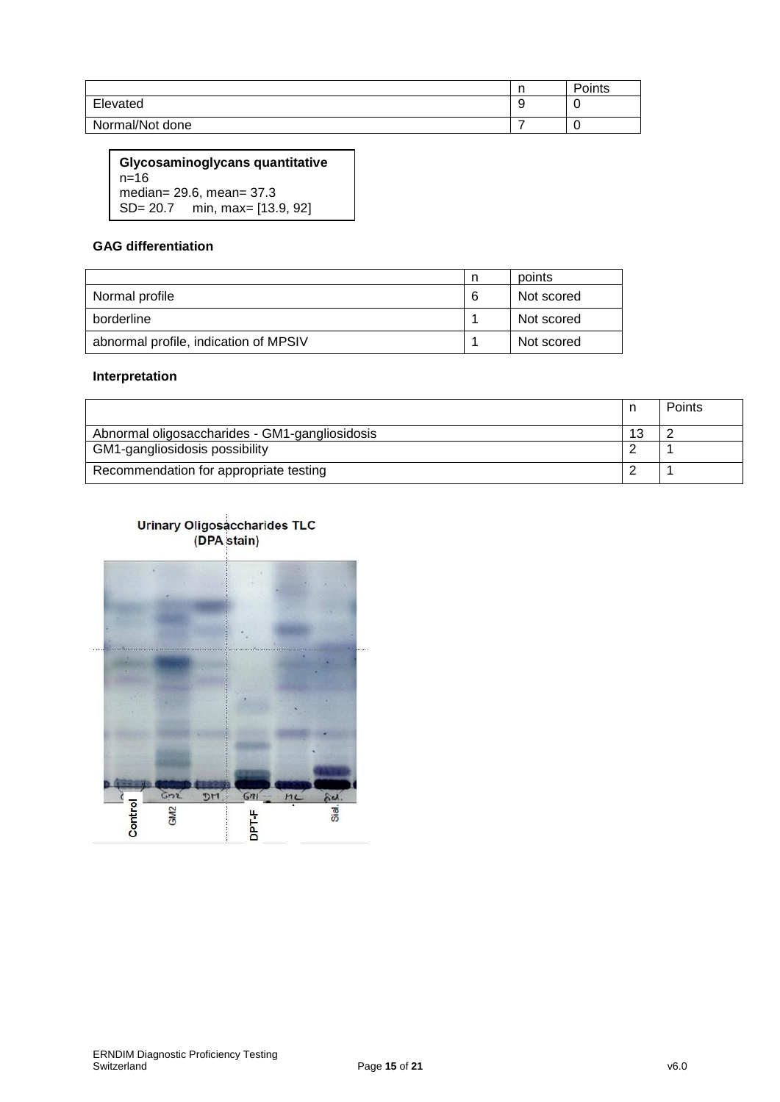|                 | . . | Points |
|-----------------|-----|--------|
| Elevated        |     | ╰      |
| Normal/Not done |     |        |

**Glycosaminoglycans quantitative**  $n=16$ median= 29.6, mean= 37.3 SD= 20.7 min, max= [13.9, 92]

## **GAG differentiation**

|                                       | n | points     |
|---------------------------------------|---|------------|
| Normal profile                        | 6 | Not scored |
| borderline                            |   | Not scored |
| abnormal profile, indication of MPSIV |   | Not scored |

## **Interpretation**

|                                                |    | <b>Points</b> |
|------------------------------------------------|----|---------------|
| Abnormal oligosaccharides - GM1-gangliosidosis | 13 |               |
| GM1-gangliosidosis possibility                 |    |               |
| Recommendation for appropriate testing         |    |               |

# Urinary Oligosaccharides TLC<br>(DPA stain)

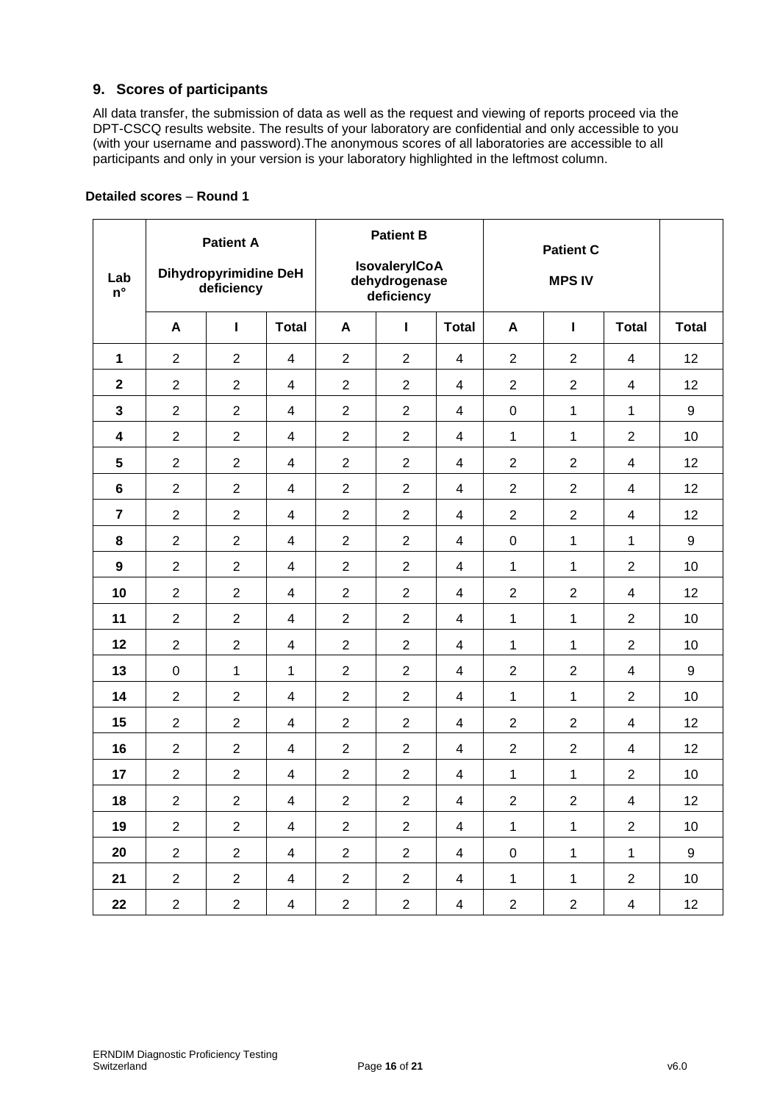## **9. Scores of participants**

All data transfer, the submission of data as well as the request and viewing of reports proceed via the DPT-CSCQ results website. The results of your laboratory are confidential and only accessible to you (with your username and password).The anonymous scores of all laboratories are accessible to all participants and only in your version is your laboratory highlighted in the leftmost column.

| Lab<br>$n^{\circ}$      |                | <b>Patient A</b><br><b>Dihydropyrimidine DeH</b><br>deficiency |                          | <b>Patient B</b><br><b>IsovaleryICoA</b><br>dehydrogenase<br>deficiency |                |                         | <b>Patient C</b><br><b>MPS IV</b> |                  |                         |                  |
|-------------------------|----------------|----------------------------------------------------------------|--------------------------|-------------------------------------------------------------------------|----------------|-------------------------|-----------------------------------|------------------|-------------------------|------------------|
|                         | A              | L                                                              | <b>Total</b>             | A                                                                       | L              | <b>Total</b>            | A                                 | I                | <b>Total</b>            | <b>Total</b>     |
| $\mathbf{1}$            | $\overline{2}$ | $\overline{2}$                                                 | $\overline{4}$           | $\overline{2}$                                                          | $\overline{2}$ | $\overline{4}$          | $\overline{2}$                    | $\overline{2}$   | 4                       | 12               |
| $\overline{\mathbf{2}}$ | $\overline{2}$ | $\overline{2}$                                                 | $\overline{4}$           | $\overline{2}$                                                          | $\overline{2}$ | $\overline{4}$          | $\overline{2}$                    | $\overline{2}$   | 4                       | 12               |
| 3                       | $\overline{2}$ | $\overline{2}$                                                 | $\overline{4}$           | $\mathbf{2}$                                                            | $\overline{2}$ | $\overline{4}$          | $\pmb{0}$                         | $\mathbf 1$      | 1                       | $\boldsymbol{9}$ |
| 4                       | $\overline{2}$ | $\overline{2}$                                                 | 4                        | $\overline{2}$                                                          | $\overline{2}$ | $\overline{4}$          | 1                                 | $\mathbf{1}$     | $\overline{2}$          | 10               |
| 5                       | $\overline{2}$ | $\overline{2}$                                                 | $\overline{4}$           | $\overline{2}$                                                          | $\overline{2}$ | $\overline{4}$          | $\overline{2}$                    | $\overline{2}$   | 4                       | 12               |
| 6                       | $\overline{2}$ | $\overline{2}$                                                 | $\overline{4}$           | $\overline{2}$                                                          | $\overline{2}$ | $\overline{4}$          | $\overline{2}$                    | $\overline{2}$   | 4                       | 12               |
| $\overline{7}$          | $\overline{2}$ | $\overline{2}$                                                 | 4                        | $\overline{2}$                                                          | $\overline{2}$ | 4                       | $\overline{2}$                    | $\overline{2}$   | 4                       | 12               |
| 8                       | $\overline{2}$ | $\overline{2}$                                                 | $\overline{4}$           | $\overline{2}$                                                          | $\overline{2}$ | 4                       | $\pmb{0}$                         | $\mathbf{1}$     | 1                       | $\boldsymbol{9}$ |
| $\boldsymbol{9}$        | $\overline{2}$ | $\overline{2}$                                                 | $\overline{4}$           | $\overline{c}$                                                          | $\overline{2}$ | $\overline{4}$          | 1                                 | $\mathbf 1$      | $\overline{2}$          | 10               |
| 10                      | $\overline{2}$ | $\overline{2}$                                                 | $\overline{4}$           | $\overline{2}$                                                          | $\overline{2}$ | 4                       | $\overline{2}$                    | $\overline{2}$   | $\overline{4}$          | 12               |
| 11                      | $\overline{2}$ | $\overline{2}$                                                 | $\overline{4}$           | $\overline{2}$                                                          | $\overline{2}$ | 4                       | 1                                 | $\mathbf 1$      | $\overline{2}$          | 10               |
| 12                      | $\overline{2}$ | $\overline{2}$                                                 | $\overline{4}$           | $\overline{2}$                                                          | $\overline{2}$ | $\overline{4}$          | 1                                 | $\mathbf 1$      | $\overline{2}$          | 10               |
| 13                      | 0              | $\mathbf{1}$                                                   | $\mathbf{1}$             | $\overline{2}$                                                          | $\overline{2}$ | $\overline{4}$          | $\overline{2}$                    | $\overline{2}$   | 4                       | $\boldsymbol{9}$ |
| 14                      | $\overline{2}$ | $\overline{2}$                                                 | $\overline{\mathcal{A}}$ | $\overline{2}$                                                          | $\overline{2}$ | $\overline{4}$          | 1                                 | $\mathbf{1}$     | $\overline{2}$          | 10               |
| 15                      | $\overline{2}$ | $\overline{2}$                                                 | $\overline{4}$           | $\overline{2}$                                                          | $\overline{2}$ | $\overline{4}$          | $\overline{2}$                    | $\overline{2}$   | 4                       | 12               |
| 16                      | $\overline{2}$ | $\overline{2}$                                                 | 4                        | $\overline{2}$                                                          | $\overline{2}$ | $\overline{4}$          | $\overline{2}$                    | $\overline{2}$   | 4                       | 12               |
| 17                      | $\overline{2}$ | $\overline{2}$                                                 | $\overline{\mathbf{4}}$  | $\overline{2}$                                                          | $\overline{2}$ | $\overline{4}$          | 1                                 | $\mathbf{1}$     | $\overline{2}$          | 10               |
| 18                      | $\overline{2}$ | $\overline{2}$                                                 | $\overline{\mathcal{A}}$ | $\overline{2}$                                                          | $\overline{2}$ | 4                       | $\overline{2}$                    | $\overline{2}$   | 4                       | 12               |
| 19                      | $\overline{2}$ | $\overline{2}$                                                 | $\overline{4}$           | $\overline{2}$                                                          | $\overline{2}$ | $\overline{4}$          | $\mathbf{1}$                      | $\mathbf 1$      | $\overline{2}$          | 10               |
| 20                      | $\overline{2}$ | $\overline{2}$                                                 | $\overline{4}$           | $\overline{2}$                                                          | $\overline{2}$ | $\overline{4}$          | $\pmb{0}$                         | $\mathbf{1}$     | $\mathbf{1}$            | $\boldsymbol{9}$ |
| 21                      | $\overline{c}$ | $\overline{2}$                                                 | $\overline{4}$           | $\mathbf{2}$                                                            | $\overline{c}$ | $\overline{4}$          | $\mathbf 1$                       | $\mathbf{1}$     | $\overline{c}$          | 10               |
| 22                      | $\overline{c}$ | $\overline{c}$                                                 | $\overline{\mathbf{4}}$  | $\overline{c}$                                                          | $\mathbf{2}$   | $\overline{\mathbf{4}}$ | $\sqrt{2}$                        | $\boldsymbol{2}$ | $\overline{\mathbf{4}}$ | 12               |

## **Detailed scores** – **Round 1**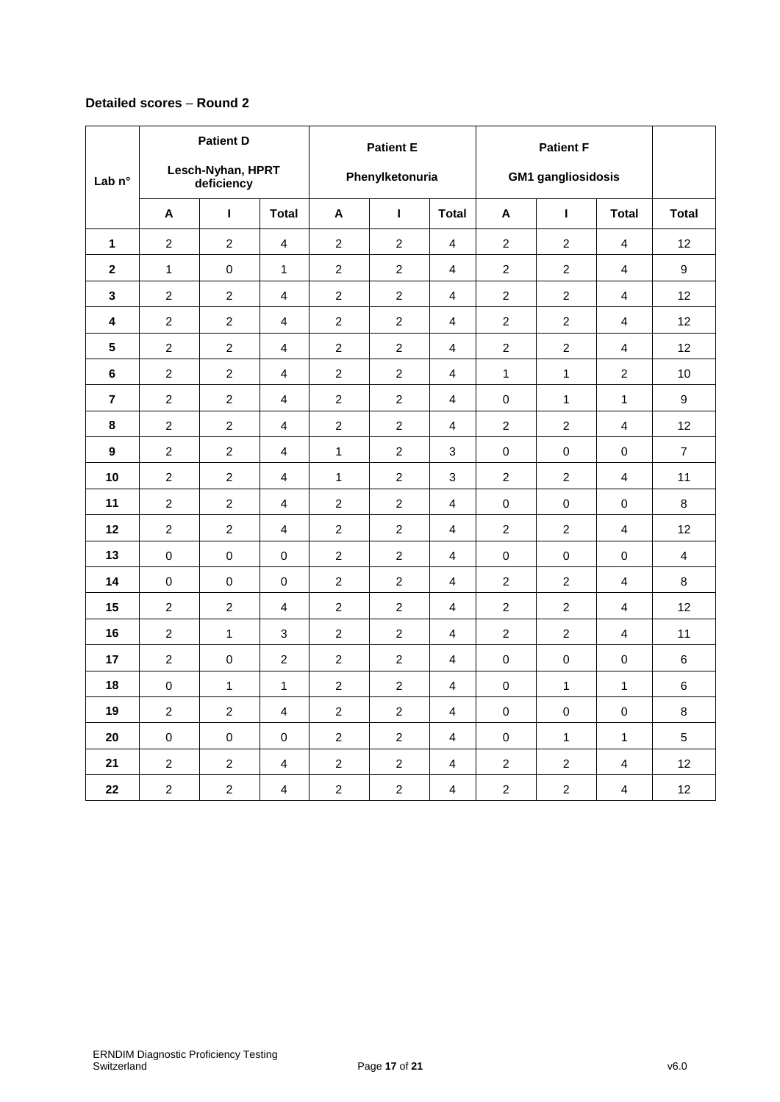## **Detailed scores** – **Round 2**

| Lab <sub>n°</sub> |                | <b>Patient D</b><br>Lesch-Nyhan, HPRT<br>deficiency |                | <b>Patient E</b><br>Phenylketonuria |                | <b>Patient F</b><br><b>GM1</b> gangliosidosis |                  |                  |                |                |
|-------------------|----------------|-----------------------------------------------------|----------------|-------------------------------------|----------------|-----------------------------------------------|------------------|------------------|----------------|----------------|
|                   | A              | $\mathbf{I}$                                        | <b>Total</b>   | A                                   | $\mathbf{I}$   | <b>Total</b>                                  | A                | $\mathbf{I}$     | <b>Total</b>   | <b>Total</b>   |
| $\mathbf{1}$      | 2              | $\overline{c}$                                      | 4              | $\overline{2}$                      | 2              | 4                                             | $\overline{c}$   | 2                | $\overline{4}$ | 12             |
| $\mathbf{2}$      | $\mathbf{1}$   | 0                                                   | $\mathbf{1}$   | $\overline{c}$                      | $\overline{c}$ | 4                                             | $\boldsymbol{2}$ | $\boldsymbol{2}$ | 4              | 9              |
| 3                 | $\overline{c}$ | $\overline{2}$                                      | 4              | $\overline{c}$                      | $\overline{c}$ | 4                                             | $\overline{c}$   | $\overline{c}$   | 4              | 12             |
| 4                 | $\overline{c}$ | $\overline{2}$                                      | $\overline{4}$ | $\overline{2}$                      | $\overline{c}$ | $\overline{4}$                                | $\overline{2}$   | $\overline{c}$   | $\overline{4}$ | 12             |
| $5\phantom{a}$    | $\overline{c}$ | $\overline{2}$                                      | 4              | $\overline{c}$                      | $\overline{c}$ | 4                                             | $\overline{c}$   | $\overline{c}$   | $\overline{4}$ | 12             |
| 6                 | $\overline{2}$ | $\overline{2}$                                      | 4              | $\overline{2}$                      | $\overline{2}$ | 4                                             | $\mathbf{1}$     | $\mathbf{1}$     | $\overline{2}$ | 10             |
| $\overline{7}$    | $\overline{2}$ | $\overline{2}$                                      | 4              | $\overline{2}$                      | $\overline{c}$ | 4                                             | 0                | $\mathbf{1}$     | 1              | 9              |
| 8                 | $\overline{c}$ | $\overline{2}$                                      | 4              | $\overline{c}$                      | $\overline{c}$ | $\overline{4}$                                | $\overline{2}$   | $\overline{c}$   | 4              | 12             |
| $\boldsymbol{9}$  | $\overline{c}$ | $\overline{2}$                                      | $\overline{4}$ | 1                                   | $\overline{c}$ | 3                                             | 0                | 0                | 0              | $\overline{7}$ |
| 10                | $\overline{c}$ | $\overline{2}$                                      | 4              | $\mathbf{1}$                        | $\overline{c}$ | 3                                             | $\overline{c}$   | $\overline{c}$   | $\overline{4}$ | 11             |
| 11                | $\overline{c}$ | $\overline{2}$                                      | $\overline{4}$ | $\overline{2}$                      | $\overline{2}$ | 4                                             | $\mathbf 0$      | $\mathbf 0$      | 0              | 8              |
| 12                | 2              | $\overline{2}$                                      | $\overline{4}$ | $\overline{2}$                      | 2              | 4                                             | 2                | 2                | $\overline{4}$ | 12             |
| 13                | $\pmb{0}$      | $\pmb{0}$                                           | $\pmb{0}$      | $\overline{2}$                      | $\overline{c}$ | 4                                             | 0                | 0                | 0              | $\overline{4}$ |
| 14                | 0              | 0                                                   | $\mathbf 0$    | $\overline{2}$                      | $\overline{c}$ | 4                                             | $\overline{2}$   | $\overline{c}$   | $\overline{4}$ | 8              |
| 15                | $\overline{2}$ | $\overline{2}$                                      | $\overline{4}$ | $\overline{2}$                      | $\overline{c}$ | $\overline{4}$                                | $\overline{2}$   | $\overline{c}$   | 4              | 12             |
| 16                | $\overline{c}$ | $\mathbf{1}$                                        | 3              | $\overline{c}$                      | $\overline{c}$ | 4                                             | 2                | $\overline{c}$   | 4              | 11             |
| 17                | $\overline{c}$ | $\mathbf 0$                                         | $\overline{2}$ | $\overline{c}$                      | $\overline{2}$ | $\overline{4}$                                | 0                | 0                | 0              | 6              |
| 18                | $\mathbf 0$    | $\mathbf{1}$                                        | $\mathbf{1}$   | $\overline{2}$                      | $\overline{2}$ | 4                                             | $\mathbf 0$      | $\mathbf{1}$     | $\mathbf{1}$   | 6              |
| 19                | $\overline{c}$ | $\overline{2}$                                      | 4              | $\overline{c}$                      | $\overline{c}$ | 4                                             | 0                | 0                | $\pmb{0}$      | 8              |
| 20                | 0              | 0                                                   | $\pmb{0}$      | $\overline{2}$                      | $\overline{c}$ | 4                                             | 0                | $\mathbf{1}$     | $\mathbf{1}$   | 5              |
| 21                | $\overline{c}$ | $\overline{2}$                                      | 4              | $\overline{c}$                      | $\overline{c}$ | 4                                             | $\overline{c}$   | $\overline{c}$   | 4              | 12             |
| 22                | $\overline{2}$ | $\overline{2}$                                      | 4              | $\overline{2}$                      | $\overline{c}$ | $\overline{4}$                                | $\overline{2}$   | $\overline{c}$   | $\overline{4}$ | 12             |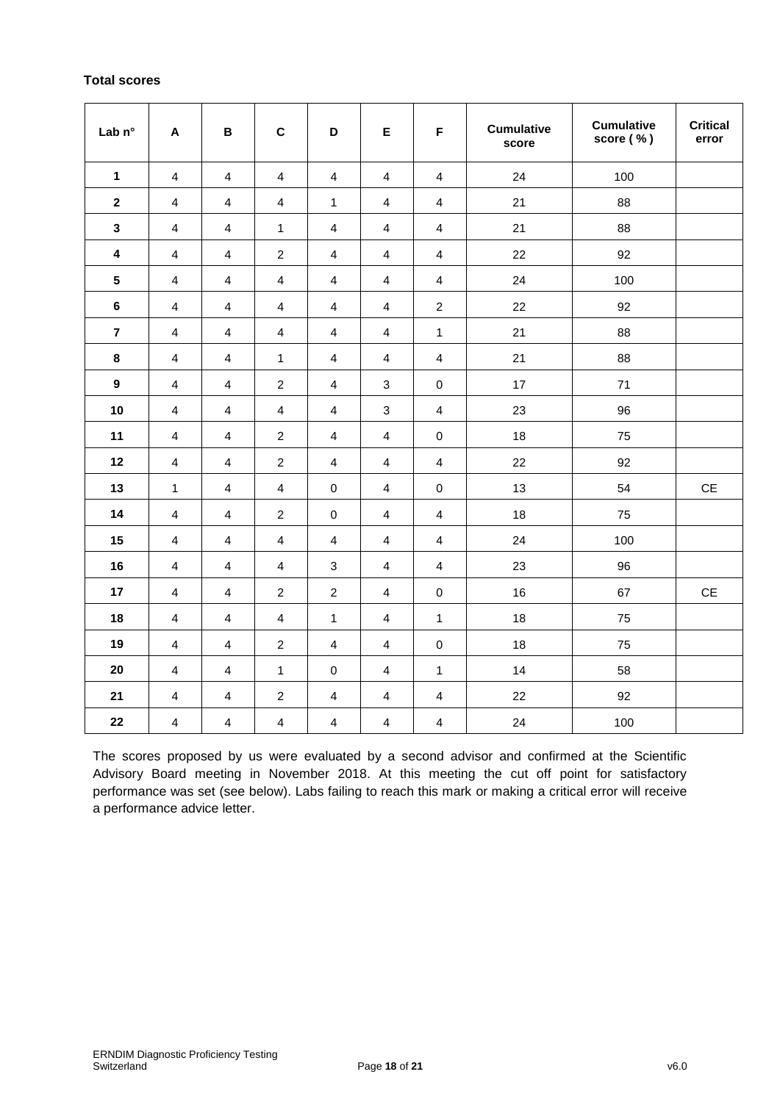## **Total scores**

| Lab n°                  | $\boldsymbol{\mathsf{A}}$ | $\, {\bf B}$            | $\mathbf c$             | D                         | E                         | F                       | <b>Cumulative</b><br>score | <b>Cumulative</b><br>score (%) | <b>Critical</b><br>error      |
|-------------------------|---------------------------|-------------------------|-------------------------|---------------------------|---------------------------|-------------------------|----------------------------|--------------------------------|-------------------------------|
| $\mathbf 1$             | $\overline{\mathbf{4}}$   | $\overline{\mathbf{4}}$ | $\overline{\mathbf{4}}$ | $\overline{\mathbf{4}}$   | $\overline{\mathbf{4}}$   | $\overline{\mathbf{4}}$ | 24                         | 100                            |                               |
| $\boldsymbol{2}$        | $\overline{4}$            | $\overline{4}$          | $\overline{\mathbf{4}}$ | $\mathbf{1}$              | $\overline{4}$            | $\overline{\mathbf{4}}$ | 21                         | 88                             |                               |
| $\overline{\mathbf{3}}$ | 4                         | $\overline{4}$          | 1                       | $\overline{4}$            | $\overline{4}$            | $\overline{4}$          | 21                         | 88                             |                               |
| $\pmb{4}$               | $\overline{4}$            | $\overline{\mathbf{4}}$ | $\boldsymbol{2}$        | $\overline{4}$            | $\overline{4}$            | $\overline{\mathbf{4}}$ | 22                         | 92                             |                               |
| $5\phantom{.0}$         | $\overline{4}$            | $\overline{\mathbf{4}}$ | $\overline{\mathbf{4}}$ | $\overline{\mathbf{4}}$   | $\overline{4}$            | $\overline{\mathbf{4}}$ | 24                         | 100                            |                               |
| $\bf 6$                 | $\overline{\mathbf{4}}$   | $\overline{4}$          | $\overline{\mathbf{4}}$ | $\overline{\mathbf{4}}$   | $\overline{4}$            | $\overline{c}$          | 22                         | 92                             |                               |
| $\overline{7}$          | $\overline{\mathbf{4}}$   | $\overline{\mathbf{4}}$ | $\overline{\mathbf{4}}$ | $\overline{\mathbf{4}}$   | $\overline{4}$            | $\mathbf{1}$            | 21                         | 88                             |                               |
| $\bf 8$                 | 4                         | $\overline{\mathbf{4}}$ | $\mathbf{1}$            | $\overline{4}$            | $\overline{4}$            | $\overline{\mathbf{4}}$ | 21                         | 88                             |                               |
| $\boldsymbol{9}$        | $\overline{\mathbf{4}}$   | $\overline{4}$          | $\boldsymbol{2}$        | $\overline{4}$            | $\ensuremath{\mathsf{3}}$ | $\pmb{0}$               | 17                         | 71                             |                               |
| 10                      | $\overline{\mathbf{4}}$   | $\overline{4}$          | $\overline{4}$          | $\overline{\mathbf{4}}$   | $\ensuremath{\mathsf{3}}$ | $\overline{4}$          | 23                         | 96                             |                               |
| 11                      | $\overline{\mathbf{4}}$   | $\overline{\mathbf{4}}$ | $\sqrt{2}$              | $\overline{4}$            | $\overline{\mathbf{4}}$   | $\pmb{0}$               | 18                         | 75                             |                               |
| 12                      | $\overline{\mathbf{4}}$   | $\overline{\mathbf{4}}$ | $\overline{c}$          | $\overline{\mathbf{4}}$   | $\overline{4}$            | $\overline{\mathbf{4}}$ | 22                         | 92                             |                               |
| 13                      | 1                         | $\overline{4}$          | $\overline{\mathbf{4}}$ | $\pmb{0}$                 | $\overline{4}$            | $\pmb{0}$               | 13                         | 54                             | $\mathsf{CE}$                 |
| 14                      | $\overline{\mathbf{4}}$   | $\overline{\mathbf{4}}$ | $\boldsymbol{2}$        | $\pmb{0}$                 | $\overline{4}$            | $\overline{4}$          | 18                         | 75                             |                               |
| 15                      | $\overline{4}$            | $\overline{4}$          | $\overline{\mathbf{4}}$ | $\overline{4}$            | $\overline{4}$            | $\overline{\mathbf{4}}$ | 24                         | 100                            |                               |
| 16                      | $\overline{4}$            | 4                       | $\overline{4}$          | $\ensuremath{\mathsf{3}}$ | $\overline{4}$            | $\overline{\mathbf{4}}$ | 23                         | 96                             |                               |
| 17                      | $\overline{\mathbf{4}}$   | $\overline{\mathbf{4}}$ | $\sqrt{2}$              | $\sqrt{2}$                | $\overline{\mathbf{4}}$   | $\mathbf 0$             | 16                         | 67                             | $\mathsf{CE}% _{\mathcal{A}}$ |
| 18                      | $\overline{\mathbf{4}}$   | $\overline{\mathbf{4}}$ | $\overline{\mathbf{4}}$ | $\mathbf{1}$              | $\overline{\mathbf{4}}$   | $\mathbf{1}$            | 18                         | 75                             |                               |
| 19                      | $\overline{\mathbf{4}}$   | $\overline{4}$          | $\sqrt{2}$              | $\overline{4}$            | $\overline{\mathbf{4}}$   | $\pmb{0}$               | 18                         | 75                             |                               |
| 20                      | $\overline{\mathbf{4}}$   | $\overline{\mathbf{4}}$ | $\mathbf{1}$            | $\pmb{0}$                 | $\overline{\mathbf{4}}$   | $\mathbf{1}$            | 14                         | 58                             |                               |
| 21                      | $\overline{\mathbf{4}}$   | $\overline{4}$          | $\sqrt{2}$              | $\overline{\mathbf{4}}$   | $\overline{\mathbf{4}}$   | $\overline{\mathbf{4}}$ | 22                         | 92                             |                               |
| 22                      | 4                         | $\overline{4}$          | $\overline{4}$          | $\overline{4}$            | $\overline{4}$            | $\overline{\mathbf{4}}$ | 24                         | 100                            |                               |

The scores proposed by us were evaluated by a second advisor and confirmed at the Scientific Advisory Board meeting in November 2018. At this meeting the cut off point for satisfactory performance was set (see below). Labs failing to reach this mark or making a critical error will receive a performance advice letter.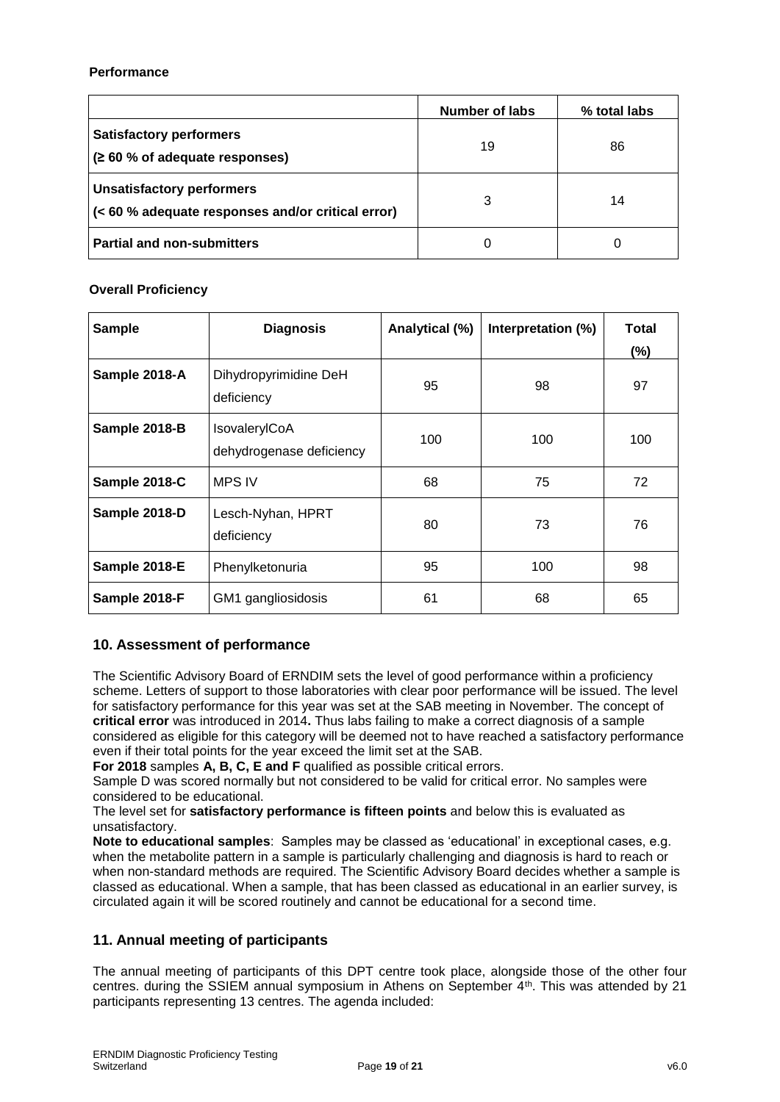#### **Performance**

|                                                                                       | Number of labs | % total labs |
|---------------------------------------------------------------------------------------|----------------|--------------|
| <b>Satisfactory performers</b><br>(260 % of adequate responses)                       | 19             | 86           |
| <b>Unsatisfactory performers</b><br>(< 60 % adequate responses and/or critical error) | 3              | 14           |
| <b>Partial and non-submitters</b>                                                     | 0              |              |

#### **Overall Proficiency**

| <b>Sample</b> | <b>Diagnosis</b>                          | Analytical (%) | Interpretation (%) | <b>Total</b><br>$(\%)$ |
|---------------|-------------------------------------------|----------------|--------------------|------------------------|
| Sample 2018-A | Dihydropyrimidine DeH<br>deficiency       | 95             | 98                 | 97                     |
| Sample 2018-B | IsovalerylCoA<br>dehydrogenase deficiency | 100            | 100                | 100                    |
| Sample 2018-C | <b>MPS IV</b>                             | 68             | 75                 | 72                     |
| Sample 2018-D | Lesch-Nyhan, HPRT<br>deficiency           | 80             | 73                 | 76                     |
| Sample 2018-E | Phenylketonuria                           | 95             | 100                | 98                     |
| Sample 2018-F | GM1 gangliosidosis                        | 61             | 68                 | 65                     |

## **10. Assessment of performance**

The Scientific Advisory Board of ERNDIM sets the level of good performance within a proficiency scheme. Letters of support to those laboratories with clear poor performance will be issued. The level for satisfactory performance for this year was set at the SAB meeting in November. The concept of **critical error** was introduced in 2014**.** Thus labs failing to make a correct diagnosis of a sample considered as eligible for this category will be deemed not to have reached a satisfactory performance even if their total points for the year exceed the limit set at the SAB.

**For 2018** samples **A, B, C, E and F** qualified as possible critical errors.

Sample D was scored normally but not considered to be valid for critical error. No samples were considered to be educational.

The level set for **satisfactory performance is fifteen points** and below this is evaluated as unsatisfactory.

**Note to educational samples**: Samples may be classed as 'educational' in exceptional cases, e.g. when the metabolite pattern in a sample is particularly challenging and diagnosis is hard to reach or when non-standard methods are required. The Scientific Advisory Board decides whether a sample is classed as educational. When a sample, that has been classed as educational in an earlier survey, is circulated again it will be scored routinely and cannot be educational for a second time.

## **11. Annual meeting of participants**

The annual meeting of participants of this DPT centre took place, alongside those of the other four centres. during the SSIEM annual symposium in Athens on September 4th. This was attended by 21 participants representing 13 centres. The agenda included: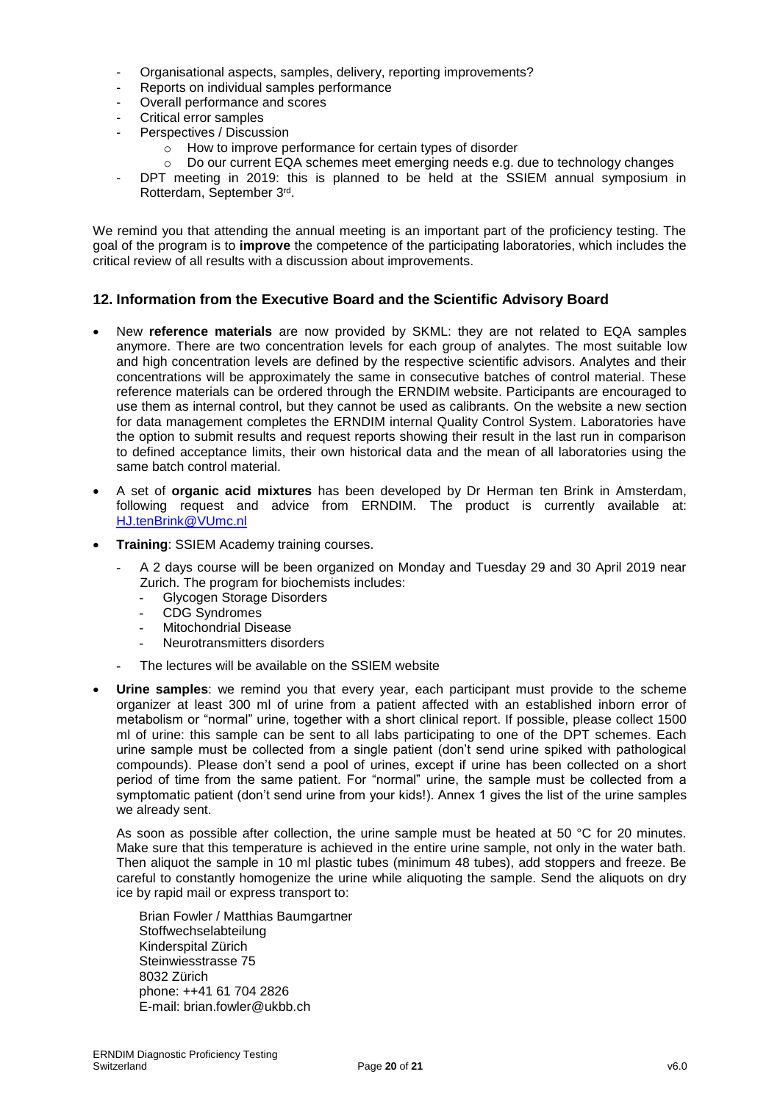- Organisational aspects, samples, delivery, reporting improvements?
- Reports on individual samples performance
- Overall performance and scores
- Critical error samples
- Perspectives / Discussion
	- o How to improve performance for certain types of disorder
	- o Do our current EQA schemes meet emerging needs e.g. due to technology changes
- DPT meeting in 2019: this is planned to be held at the SSIEM annual symposium in Rotterdam, September 3rd.

We remind you that attending the annual meeting is an important part of the proficiency testing. The goal of the program is to **improve** the competence of the participating laboratories, which includes the critical review of all results with a discussion about improvements.

## **12. Information from the Executive Board and the Scientific Advisory Board**

- New **reference materials** are now provided by SKML: they are not related to EQA samples anymore. There are two concentration levels for each group of analytes. The most suitable low and high concentration levels are defined by the respective scientific advisors. Analytes and their concentrations will be approximately the same in consecutive batches of control material. These reference materials can be ordered through the ERNDIM website. Participants are encouraged to use them as internal control, but they cannot be used as calibrants. On the website a new section for data management completes the ERNDIM internal Quality Control System. Laboratories have the option to submit results and request reports showing their result in the last run in comparison to defined acceptance limits, their own historical data and the mean of all laboratories using the same batch control material.
- A set of **organic acid mixtures** has been developed by Dr Herman ten Brink in Amsterdam, following request and advice from ERNDIM. The product is currently available at: [HJ.tenBrink@VUmc.nl](mailto:HJ.tenBrink@VUmc.nl)
- **Training**: SSIEM Academy training courses.
	- A 2 days course will be been organized on Monday and Tuesday 29 and 30 April 2019 near Zurich. The program for biochemists includes:
		- Glycogen Storage Disorders
		- CDG Syndromes
		- Mitochondrial Disease
		- Neurotransmitters disorders
	- The lectures will be available on the SSIEM website
- **Urine samples**: we remind you that every year, each participant must provide to the scheme organizer at least 300 ml of urine from a patient affected with an established inborn error of metabolism or "normal" urine, together with a short clinical report. If possible, please collect 1500 ml of urine: this sample can be sent to all labs participating to one of the DPT schemes. Each urine sample must be collected from a single patient (don't send urine spiked with pathological compounds). Please don't send a pool of urines, except if urine has been collected on a short period of time from the same patient. For "normal" urine, the sample must be collected from a symptomatic patient (don't send urine from your kids!). Annex 1 gives the list of the urine samples we already sent.

As soon as possible after collection, the urine sample must be heated at 50 °C for 20 minutes. Make sure that this temperature is achieved in the entire urine sample, not only in the water bath. Then aliquot the sample in 10 ml plastic tubes (minimum 48 tubes), add stoppers and freeze. Be careful to constantly homogenize the urine while aliquoting the sample. Send the aliquots on dry ice by rapid mail or express transport to:

Brian Fowler / Matthias Baumgartner Stoffwechselabteilung Kinderspital Zürich Steinwiesstrasse 75 8032 Zürich phone: ++41 61 704 2826 E-mail: brian.fowler@ukbb.ch